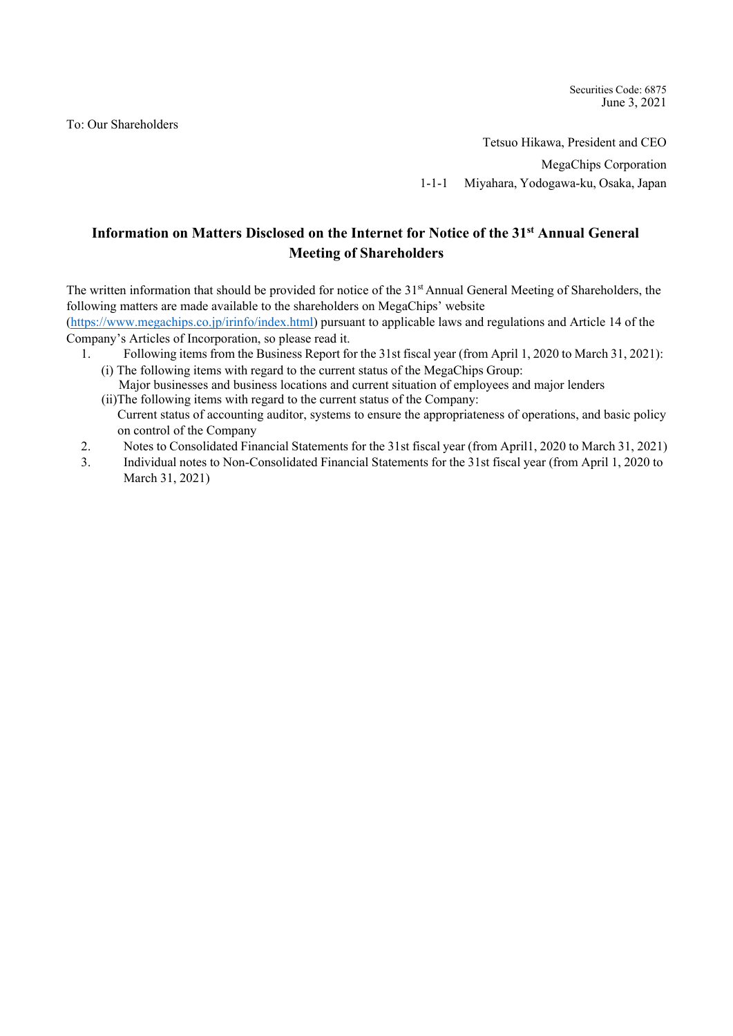To: Our Shareholders

Securities Code: 6875 June 3, 2021

Tetsuo Hikawa, President and CEO

MegaChips Corporation

1-1-1 Miyahara, Yodogawa-ku, Osaka, Japan

# **Information on Matters Disclosed on the Internet for Notice of the 31st Annual General Meeting of Shareholders**

The written information that should be provided for notice of the 31<sup>st</sup> Annual General Meeting of Shareholders, the following matters are made available to the shareholders on MegaChips' website

(https://www.megachips.co.jp/irinfo/index.html) pursuant to applicable laws and regulations and Article 14 of the Company's Articles of Incorporation, so please read it.

- 1. Following items from the Business Report for the 31st fiscal year (from April 1, 2020 to March 31, 2021): (i) The following items with regard to the current status of the MegaChips Group:
	- Major businesses and business locations and current situation of employees and major lenders (ii)The following items with regard to the current status of the Company:
		- Current status of accounting auditor, systems to ensure the appropriateness of operations, and basic policy on control of the Company
- 2. Notes to Consolidated Financial Statements for the 31st fiscal year (from April1, 2020 to March 31, 2021)
- 3. Individual notes to Non-Consolidated Financial Statements for the 31st fiscal year (from April 1, 2020 to March 31, 2021)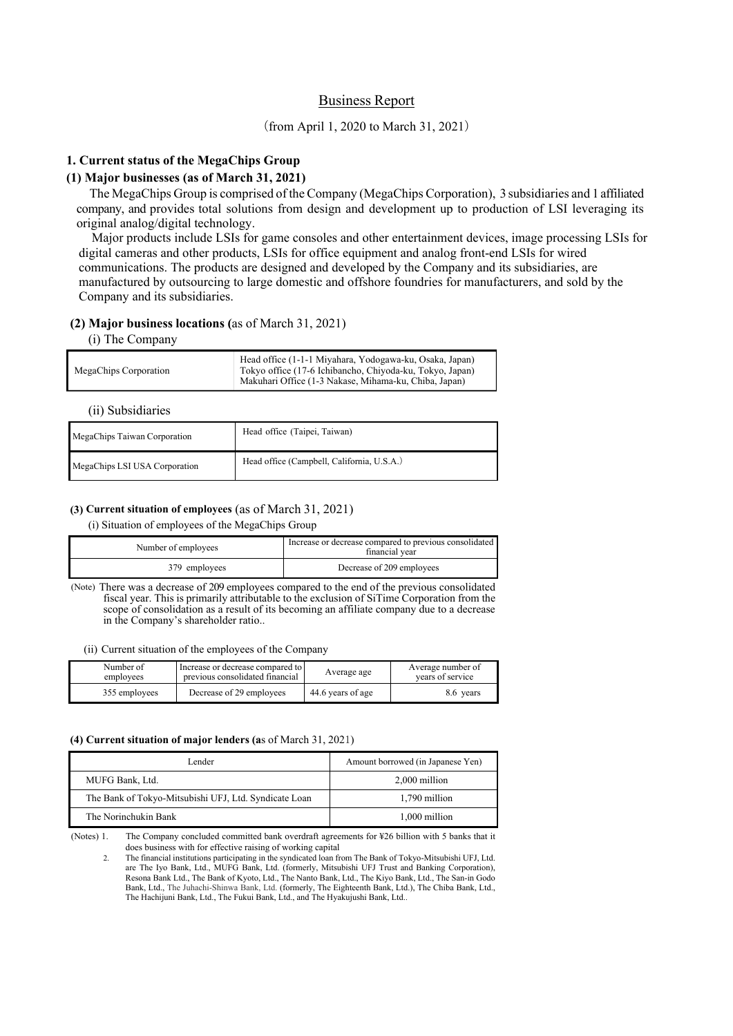## Business Report

## (from April 1, 2020 to March 31, 2021)

## **1. Current status of the MegaChips Group**

## **(1) Major businesses (as of March 31, 2021)**

The MegaChips Group is comprised of the Company (MegaChips Corporation), 3 subsidiaries and 1 affiliated company, and provides total solutions from design and development up to production of LSI leveraging its original analog/digital technology.

Major products include LSIs for game consoles and other entertainment devices, image processing LSIs for digital cameras and other products, LSIs for office equipment and analog front-end LSIs for wired communications. The products are designed and developed by the Company and its subsidiaries, are manufactured by outsourcing to large domestic and offshore foundries for manufacturers, and sold by the Company and its subsidiaries.

### **(2) Major business locations (**as of March 31, 2021)

#### (i) The Company

| MegaChips Corporation | Head office (1-1-1 Miyahara, Yodogawa-ku, Osaka, Japan)<br>Tokyo office (17-6 Ichibancho, Chiyoda-ku, Tokyo, Japan)<br>Makuhari Office (1-3 Nakase, Mihama-ku, Chiba, Japan) |
|-----------------------|------------------------------------------------------------------------------------------------------------------------------------------------------------------------------|
|-----------------------|------------------------------------------------------------------------------------------------------------------------------------------------------------------------------|

## (ii) Subsidiaries

| MegaChips Taiwan Corporation  | Head office (Taipei, Taiwan)               |
|-------------------------------|--------------------------------------------|
| MegaChips LSI USA Corporation | Head office (Campbell, California, U.S.A.) |

#### **(3) Current situation of employees** (as of March 31, 2021)

(i) Situation of employees of the MegaChips Group

| Number of employees | Increase or decrease compared to previous consolidated<br>financial vear |  |
|---------------------|--------------------------------------------------------------------------|--|
| 379 employees       | Decrease of 209 employees                                                |  |

(Note) There was a decrease of 209 employees compared to the end of the previous consolidated fiscal year. This is primarily attributable to the exclusion of SiTime Corporation from the scope of consolidation as a result of its becoming an affiliate company due to a decrease in the Company's shareholder ratio..

(ii) Current situation of the employees of the Company

| Number of     | Increase or decrease compared to | Average age       | Average number of |
|---------------|----------------------------------|-------------------|-------------------|
| employees     | previous consolidated financial  |                   | vears of service  |
| 355 employees | Decrease of 29 employees         | 44.6 years of age | 8.6 vears         |

#### **(4) Current situation of major lenders (a**s of March 31, 2021)

| Lender                                                | Amount borrowed (in Japanese Yen) |  |
|-------------------------------------------------------|-----------------------------------|--|
| MUFG Bank, Ltd.                                       | 2,000 million                     |  |
| The Bank of Tokyo-Mitsubishi UFJ, Ltd. Syndicate Loan | 1.790 million                     |  |
| The Norinchukin Bank                                  | 1,000 million                     |  |

(Notes) 1. The Company concluded committed bank overdraft agreements for ¥26 billion with 5 banks that it does business with for effective raising of working capital

2. The financial institutions participating in the syndicated loan from The Bank of Tokyo-Mitsubishi UFJ, Ltd. are The Iyo Bank, Ltd., MUFG Bank, Ltd. (formerly, Mitsubishi UFJ Trust and Banking Corporation), Resona Bank Ltd., The Bank of Kyoto, Ltd., The Nanto Bank, Ltd., The Kiyo Bank, Ltd., The San-in Godo Bank, Ltd., The Juhachi-Shinwa Bank, Ltd. (formerly, The Eighteenth Bank, Ltd.), The Chiba Bank, Ltd., The Hachijuni Bank, Ltd., The Fukui Bank, Ltd., and The Hyakujushi Bank, Ltd..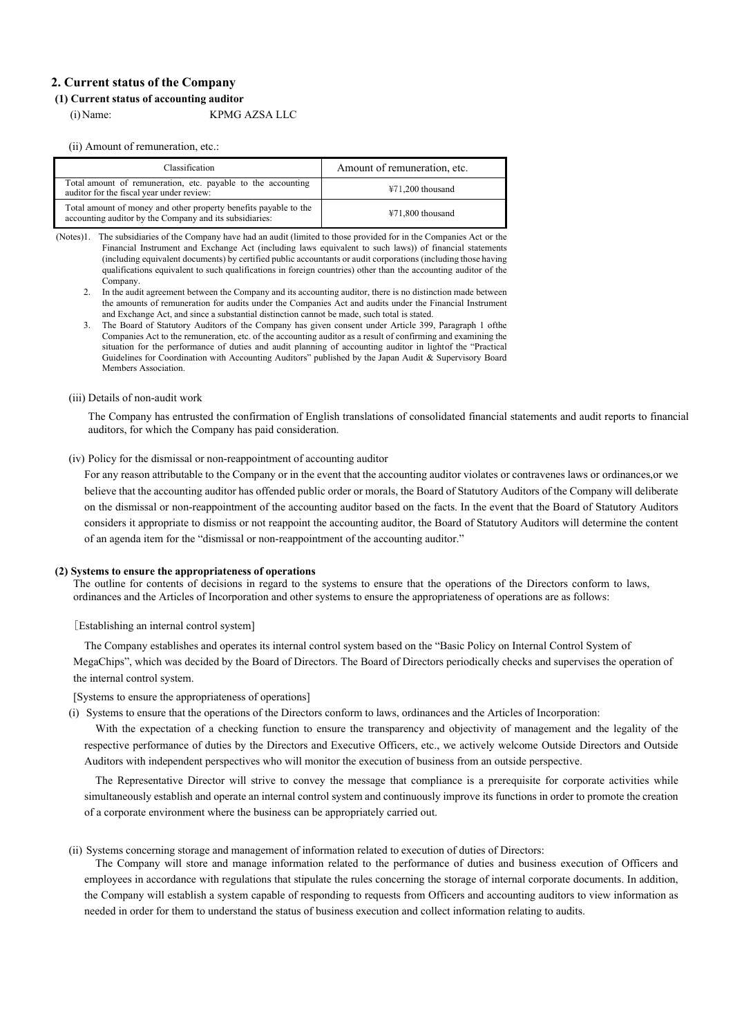## **2. Current status of the Company**

#### **(1) Current status of accounting auditor**

(i)Name: KPMG AZSA LLC

(ii) Amount of remuneration, etc.:

| <b>Classification</b>                                                                                                       | Amount of remuneration, etc. |
|-----------------------------------------------------------------------------------------------------------------------------|------------------------------|
| Total amount of remuneration, etc. payable to the accounting<br>auditor for the fiscal year under review:                   | $\text{\#}71,200$ thousand   |
| Total amount of money and other property benefits payable to the<br>accounting auditor by the Company and its subsidiaries: | $471,800$ thousand           |

(Notes)1. The subsidiaries of the Company have had an audit (limited to those provided for in the Companies Act or the Financial Instrument and Exchange Act (including laws equivalent to such laws)) of financial statements (including equivalent documents) by certified public accountants or audit corporations (including those having qualifications equivalent to such qualifications in foreign countries) other than the accounting auditor of the Company.

- 2. In the audit agreement between the Company and its accounting auditor, there is no distinction made between the amounts of remuneration for audits under the Companies Act and audits under the Financial Instrument and Exchange Act, and since a substantial distinction cannot be made, such total is stated.
- 3. The Board of Statutory Auditors of the Company has given consent under Article 399, Paragraph 1 of the Companies Act to the remuneration, etc. of the accounting auditor as a result of confirming and examining the situation for the performance of duties and audit planning of accounting auditor in light of the "Practical Guidelines for Coordination with Accounting Auditors" published by the Japan Audit & Supervisory Board Members Association.

#### (iii) Details of non-audit work

The Company has entrusted the confirmation of English translations of consolidated financial statements and audit reports to financial auditors, for which the Company has paid consideration.

#### (iv) Policy for the dismissal or non-reappointment of accounting auditor

For any reason attributable to the Company or in the event that the accounting auditor violates or contravenes laws or ordinances, or we believe that the accounting auditor has offended public order or morals, the Board of Statutory Auditors of the Company will deliberate on the dismissal or non-reappointment of the accounting auditor based on the facts. In the event that the Board of Statutory Auditors considers it appropriate to dismiss or not reappoint the accounting auditor, the Board of Statutory Auditors will determine the content of an agenda item for the "dismissal or non-reappointment of the accounting auditor."

#### **(2) Systems to ensure the appropriateness of operations**

The outline for contents of decisions in regard to the systems to ensure that the operations of the Directors conform to laws, ordinances and the Articles of Incorporation and other systems to ensure the appropriateness of operations are as follows:

[Establishing an internal control system]

The Company establishes and operates its internal control system based on the "Basic Policy on Internal Control System of MegaChips", which was decided by the Board of Directors. The Board of Directors periodically checks and supervises the operation of the internal control system.

[Systems to ensure the appropriateness of operations]

(i) Systems to ensure that the operations of the Directors conform to laws, ordinances and the Articles of Incorporation:

With the expectation of a checking function to ensure the transparency and objectivity of management and the legality of the respective performance of duties by the Directors and Executive Officers, etc., we actively welcome Outside Directors and Outside Auditors with independent perspectives who will monitor the execution of business from an outside perspective.

The Representative Director will strive to convey the message that compliance is a prerequisite for corporate activities while simultaneously establish and operate an internal control system and continuously improve its functions in order to promote the creation of a corporate environment where the business can be appropriately carried out.

(ii) Systems concerning storage and management of information related to execution of duties of Directors:

The Company will store and manage information related to the performance of duties and business execution of Officers and employees in accordance with regulations that stipulate the rules concerning the storage of internal corporate documents. In addition, the Company will establish a system capable of responding to requests from Officers and accounting auditors to view information as needed in order for them to understand the status of business execution and collect information relating to audits.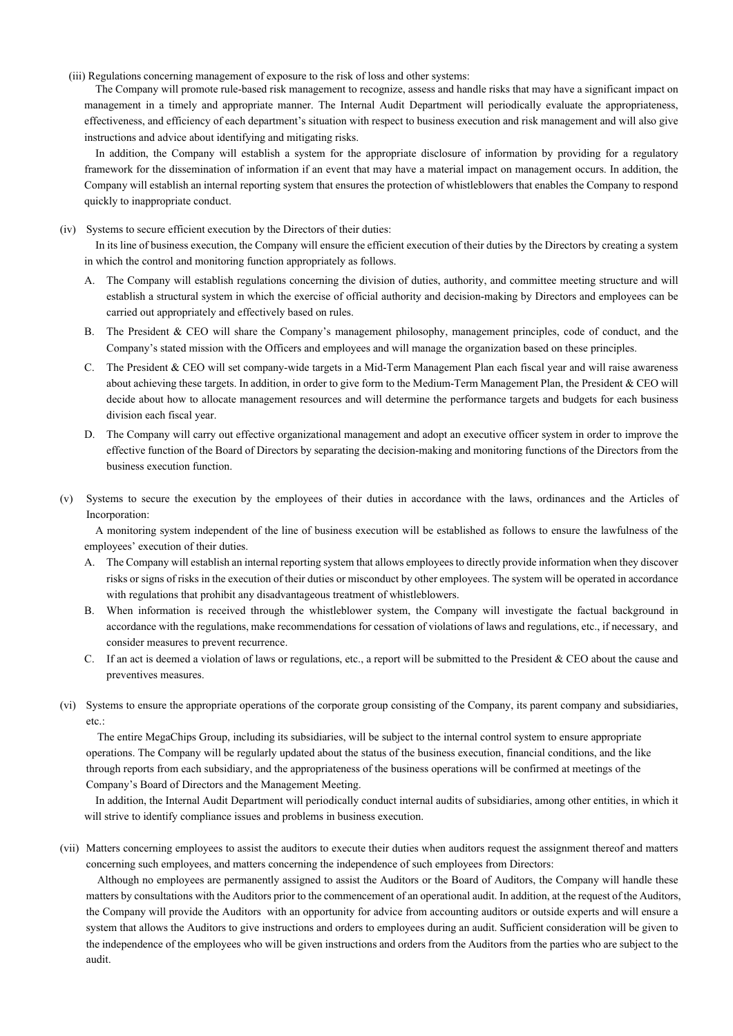(iii) Regulations concerning management of exposure to the risk of loss and other systems:

The Company will promote rule-based risk management to recognize, assess and handle risks that may have a significant impact on management in a timely and appropriate manner. The Internal Audit Department will periodically evaluate the appropriateness, effectiveness, and efficiency of each department's situation with respect to business execution and risk management and will also give instructions and advice about identifying and mitigating risks.

In addition, the Company will establish a system for the appropriate disclosure of information by providing for a regulatory framework for the dissemination of information if an event that may have a material impact on management occurs. In addition, the Company will establish an internal reporting system that ensures the protection of whistleblowers that enables the Company to respond quickly to inappropriate conduct.

(iv) Systems to secure efficient execution by the Directors of their duties:

In its line of business execution, the Company will ensure the efficient execution of their duties by the Directors by creating a system in which the control and monitoring function appropriately as follows.

- A. The Company will establish regulations concerning the division of duties, authority, and committee meeting structure and will establish a structural system in which the exercise of official authority and decision-making by Directors and employees can be carried out appropriately and effectively based on rules.
- B. The President & CEO will share the Company's management philosophy, management principles, code of conduct, and the Company's stated mission with the Officers and employees and will manage the organization based on these principles.
- C. The President & CEO will set company-wide targets in a Mid-Term Management Plan each fiscal year and will raise awareness about achieving these targets. In addition, in order to give form to the Medium-Term Management Plan, the President & CEO will decide about how to allocate management resources and will determine the performance targets and budgets for each business division each fiscal year.
- D. The Company will carry out effective organizational management and adopt an executive officer system in order to improve the effective function of the Board of Directors by separating the decision-making and monitoring functions of the Directors from the business execution function.
- (v) Systems to secure the execution by the employees of their duties in accordance with the laws, ordinances and the Articles of Incorporation:

A monitoring system independent of the line of business execution will be established as follows to ensure the lawfulness of the employees' execution of their duties.

- A. The Company will establish an internal reporting system that allows employees to directly provide information when they discover risks or signs of risks in the execution of their duties or misconduct by other employees. The system will be operated in accordance with regulations that prohibit any disadvantageous treatment of whistleblowers.
- B. When information is received through the whistleblower system, the Company will investigate the factual background in accordance with the regulations, make recommendations for cessation of violations of laws and regulations, etc., if necessary, and consider measures to prevent recurrence.
- C. If an act is deemed a violation of laws or regulations, etc., a report will be submitted to the President & CEO about the cause and preventives measures.
- (vi) Systems to ensure the appropriate operations of the corporate group consisting of the Company, its parent company and subsidiaries, etc.:

The entire MegaChips Group, including its subsidiaries, will be subject to the internal control system to ensure appropriate operations. The Company will be regularly updated about the status of the business execution, financial conditions, and the like through reports from each subsidiary, and the appropriateness of the business operations will be confirmed at meetings of the Company's Board of Directors and the Management Meeting.

In addition, the Internal Audit Department will periodically conduct internal audits of subsidiaries, among other entities, in which it will strive to identify compliance issues and problems in business execution.

(vii) Matters concerning employees to assist the auditors to execute their duties when auditors request the assignment thereof and matters concerning such employees, and matters concerning the independence of such employees from Directors:

Although no employees are permanently assigned to assist the Auditors or the Board of Auditors, the Company will handle these matters by consultations with the Auditors prior to the commencement of an operational audit. In addition, at the request of the Auditors, the Company will provide the Auditors with an opportunity for advice from accounting auditors or outside experts and will ensure a system that allows the Auditors to give instructions and orders to employees during an audit. Sufficient consideration will be given to the independence of the employees who will be given instructions and orders from the Auditors from the parties who are subject to the audit.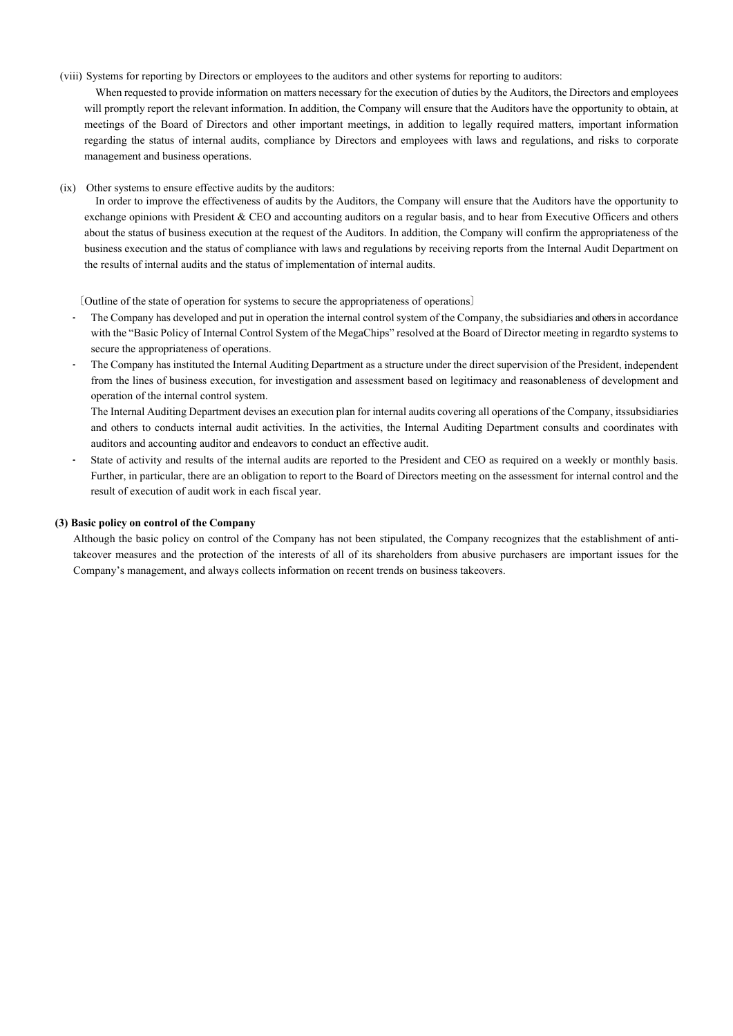(viii) Systems for reporting by Directors or employees to the auditors and other systems for reporting to auditors:

When requested to provide information on matters necessary for the execution of duties by the Auditors, the Directors and employees will promptly report the relevant information. In addition, the Company will ensure that the Auditors have the opportunity to obtain, at meetings of the Board of Directors and other important meetings, in addition to legally required matters, important information regarding the status of internal audits, compliance by Directors and employees with laws and regulations, and risks to corporate management and business operations.

(ix) Other systems to ensure effective audits by the auditors:

In order to improve the effectiveness of audits by the Auditors, the Company will ensure that the Auditors have the opportunity to exchange opinions with President & CEO and accounting auditors on a regular basis, and to hear from Executive Officers and others about the status of business execution at the request of the Auditors. In addition, the Company will confirm the appropriateness of the business execution and the status of compliance with laws and regulations by receiving reports from the Internal Audit Department on the results of internal audits and the status of implementation of internal audits.

〔Outline of the state of operation for systems to secure the appropriateness of operations〕

- The Company has developed and put in operation the internal control system of the Company, the subsidiaries and others in accordance with the "Basic Policy of Internal Control System of the MegaChips" resolved at the Board of Director meeting in regardto systems to secure the appropriateness of operations.
- The Company has instituted the Internal Auditing Department as a structure under the direct supervision of the President, independent from the lines of business execution, for investigation and assessment based on legitimacy and reasonableness of development and operation of the internal control system.

The Internal Auditing Department devises an execution plan for internal audits covering all operations of the Company, its subsidiaries and others to conducts internal audit activities. In the activities, the Internal Auditing Department consults and coordinates with auditors and accounting auditor and endeavors to conduct an effective audit.

• State of activity and results of the internal audits are reported to the President and CEO as required on a weekly or monthly basis. Further, in particular, there are an obligation to report to the Board of Directors meeting on the assessment for internal control and the result of execution of audit work in each fiscal year.

#### **(3) Basic policy on control of the Company**

Although the basic policy on control of the Company has not been stipulated, the Company recognizes that the establishment of antitakeover measures and the protection of the interests of all of its shareholders from abusive purchasers are important issues for the Company's management, and always collects information on recent trends on business takeovers.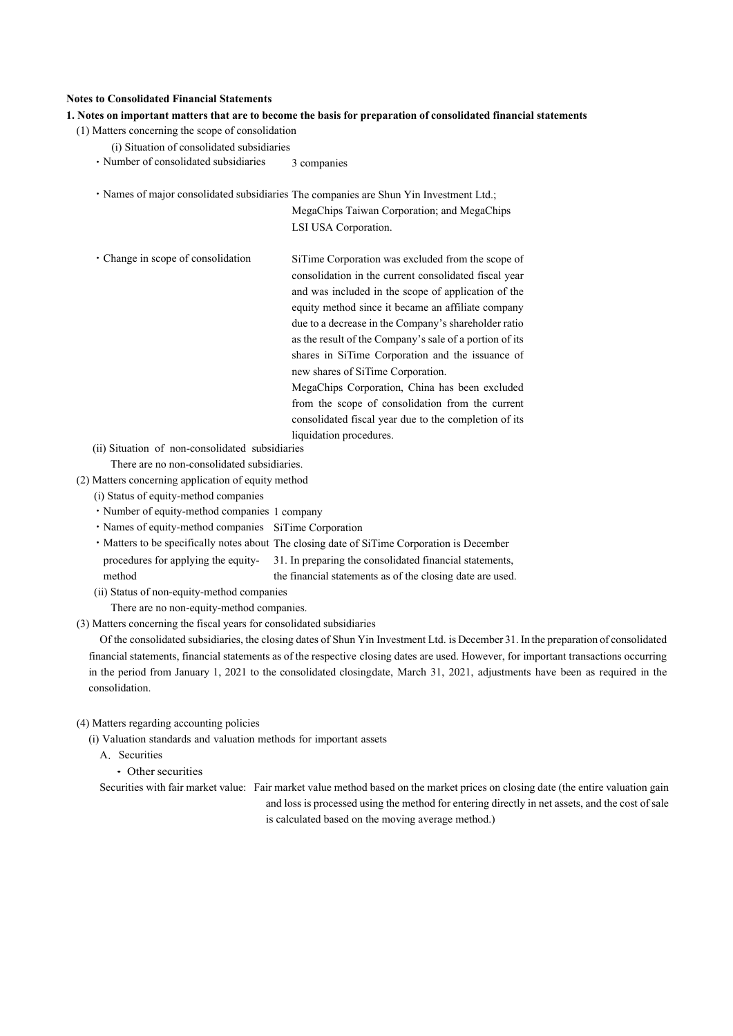## **Notes to Consolidated Financial Statements**

## **1. Notes on important matters that are to become the basis for preparation of consolidated financial statements**

- (1) Matters concerning the scope of consolidation
	- (i) Situation of consolidated subsidiaries
	- Number of consolidated subsidiaries 3 companies
	- ・Names of major consolidated subsidiaries The companies are Shun Yin Investment Ltd.;

MegaChips Taiwan Corporation; and MegaChips LSI USA Corporation.

・Change in scope of consolidation SiTime Corporation was excluded from the scope of consolidation in the current consolidated fiscal year and was included in the scope of application of the equity method since it became an affiliate company due to a decrease in the Company's shareholder ratio as the result of the Company's sale of a portion of its shares in SiTime Corporation and the issuance of new shares of SiTime Corporation. MegaChips Corporation, China has been excluded from the scope of consolidation from the current consolidated fiscal year due to the completion of its

liquidation procedures.

- (ii) Situation of non-consolidated subsidiaries There are no non-consolidated subsidiaries.
- (2) Matters concerning application of equity method
	- (i) Status of equity-method companies
	- ・Number of equity-method companies 1 company
	- ・Names of equity-method companies SiTime Corporation
	- ・Matters to be specifically notes about The closing date of SiTime Corporation is December

procedures for applying the equitymethod 31. In preparing the consolidated financial statements, the financial statements as of the closing date are used.

(ii) Status of non-equity-method companies

There are no non-equity-method companies.

(3) Matters concerning the fiscal years for consolidated subsidiaries

Of the consolidated subsidiaries, the closing dates of Shun Yin Investment Ltd. is December 31. In the preparation of consolidated financial statements, financial statements as of the respective closing dates are used. However, for important transactions occurring in the period from January 1, 2021 to the consolidated closing date, March 31, 2021, adjustments have been as required in the consolidation.

### (4) Matters regarding accounting policies

(i) Valuation standards and valuation methods for important assets

- A. Securities
	- ・Other securities

Securities with fair market value: Fair market value method based on the market prices on closing date (the entire valuation gain and loss is processed using the method for entering directly in net assets, and the cost of sale is calculated based on the moving average method.)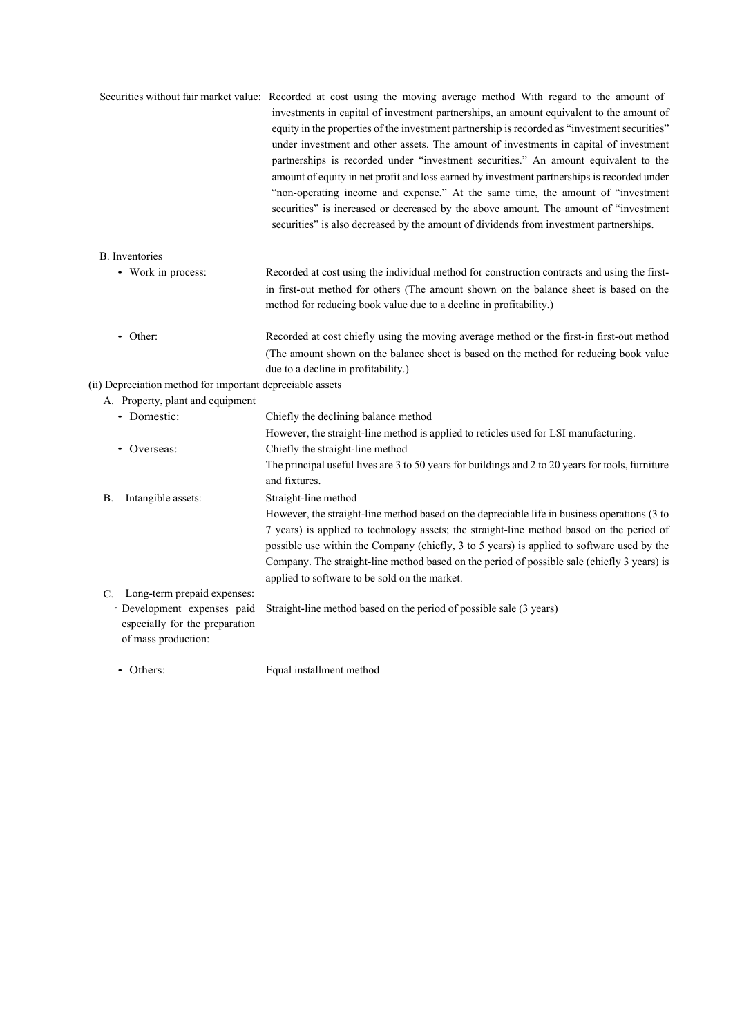|                                                                                      | Securities without fair market value: Recorded at cost using the moving average method With regard to the amount of<br>investments in capital of investment partnerships, an amount equivalent to the amount of<br>equity in the properties of the investment partnership is recorded as "investment securities"<br>under investment and other assets. The amount of investments in capital of investment<br>partnerships is recorded under "investment securities." An amount equivalent to the<br>amount of equity in net profit and loss earned by investment partnerships is recorded under<br>"non-operating income and expense." At the same time, the amount of "investment<br>securities" is increased or decreased by the above amount. The amount of "investment<br>securities" is also decreased by the amount of dividends from investment partnerships. |
|--------------------------------------------------------------------------------------|----------------------------------------------------------------------------------------------------------------------------------------------------------------------------------------------------------------------------------------------------------------------------------------------------------------------------------------------------------------------------------------------------------------------------------------------------------------------------------------------------------------------------------------------------------------------------------------------------------------------------------------------------------------------------------------------------------------------------------------------------------------------------------------------------------------------------------------------------------------------|
| <b>B.</b> Inventories                                                                |                                                                                                                                                                                                                                                                                                                                                                                                                                                                                                                                                                                                                                                                                                                                                                                                                                                                      |
| • Work in process:                                                                   | Recorded at cost using the individual method for construction contracts and using the first-<br>in first-out method for others (The amount shown on the balance sheet is based on the<br>method for reducing book value due to a decline in profitability.)                                                                                                                                                                                                                                                                                                                                                                                                                                                                                                                                                                                                          |
| • Other:                                                                             | Recorded at cost chiefly using the moving average method or the first-in first-out method<br>(The amount shown on the balance sheet is based on the method for reducing book value<br>due to a decline in profitability.)                                                                                                                                                                                                                                                                                                                                                                                                                                                                                                                                                                                                                                            |
| (ii) Depreciation method for important depreciable assets                            |                                                                                                                                                                                                                                                                                                                                                                                                                                                                                                                                                                                                                                                                                                                                                                                                                                                                      |
| A. Property, plant and equipment                                                     |                                                                                                                                                                                                                                                                                                                                                                                                                                                                                                                                                                                                                                                                                                                                                                                                                                                                      |
| • Domestic:                                                                          | Chiefly the declining balance method                                                                                                                                                                                                                                                                                                                                                                                                                                                                                                                                                                                                                                                                                                                                                                                                                                 |
| • Overseas:                                                                          | However, the straight-line method is applied to reticles used for LSI manufacturing.<br>Chiefly the straight-line method                                                                                                                                                                                                                                                                                                                                                                                                                                                                                                                                                                                                                                                                                                                                             |
|                                                                                      | The principal useful lives are 3 to 50 years for buildings and 2 to 20 years for tools, furniture<br>and fixtures.                                                                                                                                                                                                                                                                                                                                                                                                                                                                                                                                                                                                                                                                                                                                                   |
| Intangible assets:<br>В.                                                             | Straight-line method                                                                                                                                                                                                                                                                                                                                                                                                                                                                                                                                                                                                                                                                                                                                                                                                                                                 |
|                                                                                      | However, the straight-line method based on the depreciable life in business operations (3 to<br>7 years) is applied to technology assets; the straight-line method based on the period of<br>possible use within the Company (chiefly, 3 to 5 years) is applied to software used by the<br>Company. The straight-line method based on the period of possible sale (chiefly 3 years) is<br>applied to software to be sold on the market.                                                                                                                                                                                                                                                                                                                                                                                                                              |
| Long-term prepaid expenses:<br>C.                                                    |                                                                                                                                                                                                                                                                                                                                                                                                                                                                                                                                                                                                                                                                                                                                                                                                                                                                      |
| · Development expenses paid<br>especially for the preparation<br>of mass production: | Straight-line method based on the period of possible sale (3 years)                                                                                                                                                                                                                                                                                                                                                                                                                                                                                                                                                                                                                                                                                                                                                                                                  |
| • Others:                                                                            | Equal installment method                                                                                                                                                                                                                                                                                                                                                                                                                                                                                                                                                                                                                                                                                                                                                                                                                                             |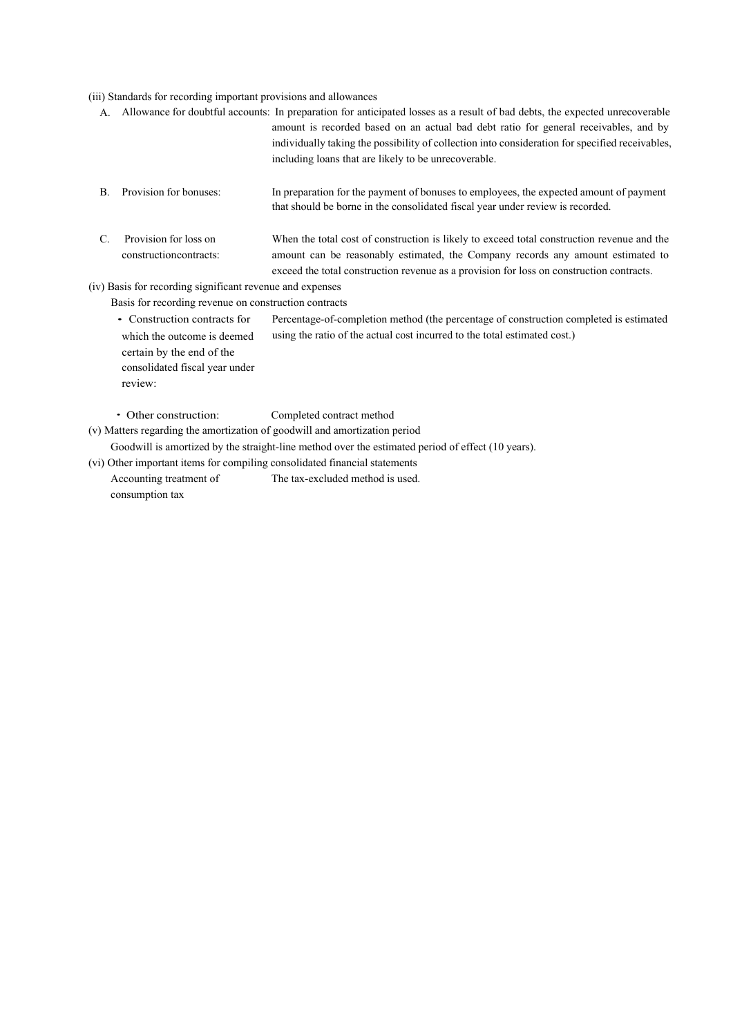## (iii) Standards for recording important provisions and allowances

|                |                                                                            | A. Allowance for doubtful accounts: In preparation for anticipated losses as a result of bad debts, the expected unrecoverable<br>amount is recorded based on an actual bad debt ratio for general receivables, and by<br>individually taking the possibility of collection into consideration for specified receivables,<br>including loans that are likely to be unrecoverable. |
|----------------|----------------------------------------------------------------------------|-----------------------------------------------------------------------------------------------------------------------------------------------------------------------------------------------------------------------------------------------------------------------------------------------------------------------------------------------------------------------------------|
| B.             | Provision for bonuses:                                                     | In preparation for the payment of bonuses to employees, the expected amount of payment<br>that should be borne in the consolidated fiscal year under review is recorded.                                                                                                                                                                                                          |
| $\mathbf{C}$ . | Provision for loss on<br>construction contracts:                           | When the total cost of construction is likely to exceed total construction revenue and the<br>amount can be reasonably estimated, the Company records any amount estimated to<br>exceed the total construction revenue as a provision for loss on construction contracts.                                                                                                         |
|                | (iv) Basis for recording significant revenue and expenses                  |                                                                                                                                                                                                                                                                                                                                                                                   |
|                | Basis for recording revenue on construction contracts                      |                                                                                                                                                                                                                                                                                                                                                                                   |
|                | • Construction contracts for<br>which the outcome is deemed                | Percentage-of-completion method (the percentage of construction completed is estimated<br>using the ratio of the actual cost incurred to the total estimated cost.)                                                                                                                                                                                                               |
|                | certain by the end of the<br>consolidated fiscal year under<br>review:     |                                                                                                                                                                                                                                                                                                                                                                                   |
|                | • Other construction:                                                      | Completed contract method                                                                                                                                                                                                                                                                                                                                                         |
|                | (v) Matters regarding the amortization of goodwill and amortization period |                                                                                                                                                                                                                                                                                                                                                                                   |
|                |                                                                            | Goodwill is amortized by the straight-line method over the estimated period of effect (10 years).                                                                                                                                                                                                                                                                                 |
|                | (vi) Other important items for compiling consolidated financial statements |                                                                                                                                                                                                                                                                                                                                                                                   |
|                | Accounting treatment of<br>consumption tax                                 | The tax-excluded method is used.                                                                                                                                                                                                                                                                                                                                                  |
|                |                                                                            |                                                                                                                                                                                                                                                                                                                                                                                   |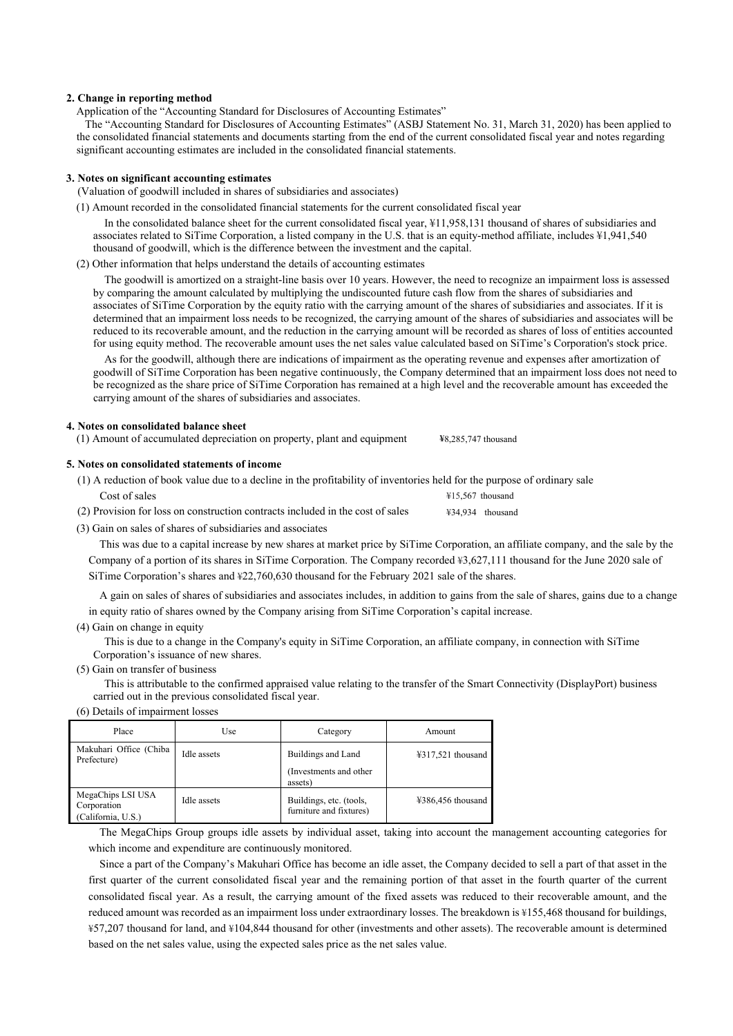#### **2. Change in reporting method**

Application of the "Accounting Standard for Disclosures of Accounting Estimates"

The "Accounting Standard for Disclosures of Accounting Estimates" (ASBJ Statement No. 31, March 31, 2020) has been applied to the consolidated financial statements and documents starting from the end of the current consolidated fiscal year and notes regarding significant accounting estimates are included in the consolidated financial statements.

#### **3. Notes on significant accounting estimates**

- (Valuation of goodwill included in shares of subsidiaries and associates)
- (1) Amount recorded in the consolidated financial statements for the current consolidated fiscal year

In the consolidated balance sheet for the current consolidated fiscal year, ¥11,958,131 thousand of shares of subsidiaries and associates related to SiTime Corporation, a listed company in the U.S. that is an equity-method affiliate, includes ¥1,941,540 thousand of goodwill, which is the difference between the investment and the capital.

(2) Other information that helps understand the details of accounting estimates

The goodwill is amortized on a straight-line basis over 10 years. However, the need to recognize an impairment loss is assessed by comparing the amount calculated by multiplying the undiscounted future cash flow from the shares of subsidiaries and associates of SiTime Corporation by the equity ratio with the carrying amount of the shares of subsidiaries and associates. If it is determined that an impairment loss needs to be recognized, the carrying amount of the shares of subsidiaries and associates will be reduced to its recoverable amount, and the reduction in the carrying amount will be recorded as shares of loss of entities accounted for using equity method. The recoverable amount uses the net sales value calculated based on SiTime's Corporation's stock price.

As for the goodwill, although there are indications of impairment as the operating revenue and expenses after amortization of goodwill of SiTime Corporation has been negative continuously, the Company determined that an impairment loss does not need to be recognized as the share price of SiTime Corporation has remained at a high level and the recoverable amount has exceeded the carrying amount of the shares of subsidiaries and associates.

#### **4. Notes on consolidated balance sheet**

(1) Amount of accumulated depreciation on property, plant and equipment **¥**8,285,747 thousand

#### **5. Notes on consolidated statements of income**

| (1) A reduction of book value due to a decline in the profitability of inventories held for the purpose of ordinary sale |                            |
|--------------------------------------------------------------------------------------------------------------------------|----------------------------|
| Cost of sales                                                                                                            | $\text{\#}15.567$ thousand |
| (2) Provision for loss on construction contracts included in the cost of sales                                           | ¥34,934 thousand           |

(3) Gain on sales of shares of subsidiaries and associates

This was due to a capital increase by new shares at market price by SiTime Corporation, an affiliate company, and the sale by the Company of a portion of its shares in SiTime Corporation. The Company recorded ¥3,627,111 thousand for the June 2020 sale of SiTime Corporation's shares and ¥22,760,630 thousand for the February 2021 sale of the shares.

A gain on sales of shares of subsidiaries and associates includes, in addition to gains from the sale of shares, gains due to a change in equity ratio of shares owned by the Company arising from SiTime Corporation's capital increase.

(4) Gain on change in equity

This is due to a change in the Company's equity in SiTime Corporation, an affiliate company, in connection with SiTime Corporation's issuance of new shares.

(5) Gain on transfer of business

This is attributable to the confirmed appraised value relating to the transfer of the Smart Connectivity (DisplayPort) business carried out in the previous consolidated fiscal year.

(6) Details of impairment losses

| Place                                                  | Use         | Category                                           | Amount                                                    |
|--------------------------------------------------------|-------------|----------------------------------------------------|-----------------------------------------------------------|
| Makuhari Office (Chiba<br>Prefecture)                  | Idle assets | Buildings and Land                                 | $\text{\textsterling}317,521$ thousand                    |
|                                                        |             | (Investments and other)<br>assets)                 |                                                           |
| MegaChips LSI USA<br>Corporation<br>(California, U.S.) | Idle assets | Buildings, etc. (tools,<br>furniture and fixtures) | $\text{\textsterling}386,\text{\textsterling}56$ thousand |

The MegaChips Group groups idle assets by individual asset, taking into account the management accounting categories for which income and expenditure are continuously monitored.

Since a part of the Company's Makuhari Office has become an idle asset, the Company decided to sell a part of that asset in the first quarter of the current consolidated fiscal year and the remaining portion of that asset in the fourth quarter of the current consolidated fiscal year. As a result, the carrying amount of the fixed assets was reduced to their recoverable amount, and the reduced amount was recorded as an impairment loss under extraordinary losses. The breakdown is ¥155,468 thousand for buildings, ¥57,207 thousand for land, and ¥104,844 thousand for other (investments and other assets). The recoverable amount is determined based on the net sales value, using the expected sales price as the net sales value.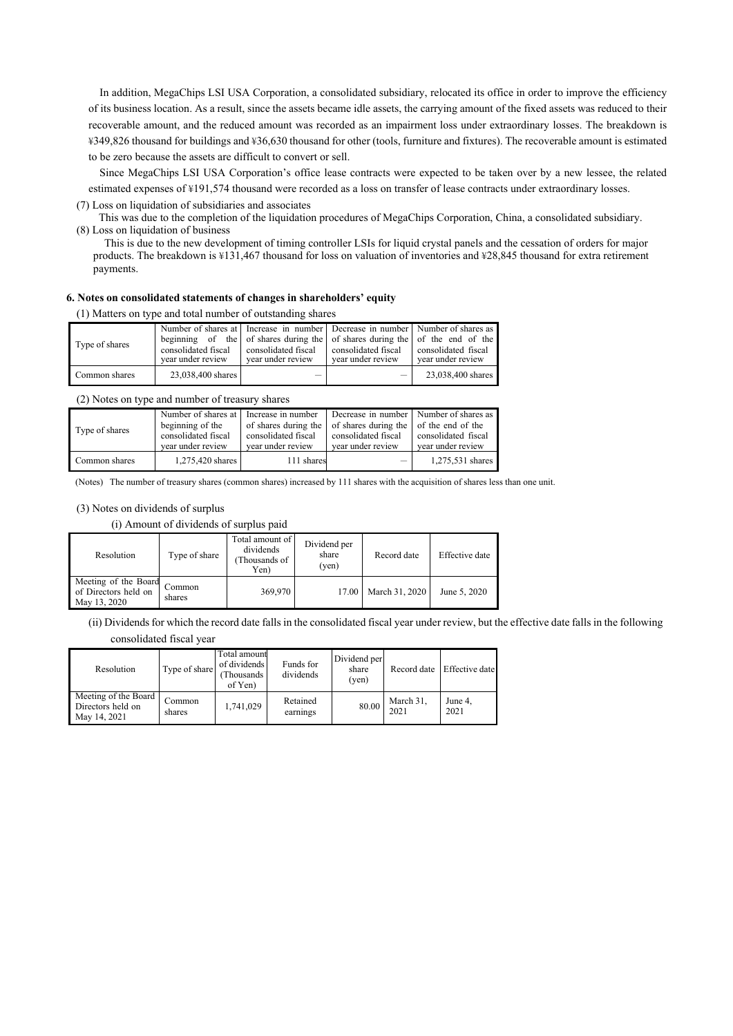In addition, MegaChips LSI USA Corporation, a consolidated subsidiary, relocated its office in order to improve the efficiency of its business location. As a result, since the assets became idle assets, the carrying amount of the fixed assets was reduced to their recoverable amount, and the reduced amount was recorded as an impairment loss under extraordinary losses. The breakdown is ¥349,826 thousand for buildings and ¥36,630 thousand for other (tools, furniture and fixtures). The recoverable amount is estimated to be zero because the assets are difficult to convert or sell.

Since MegaChips LSI USA Corporation's office lease contracts were expected to be taken over by a new lessee, the related estimated expenses of ¥191,574 thousand were recorded as a loss on transfer of lease contracts under extraordinary losses.

(7) Loss on liquidation of subsidiaries and associates

This was due to the completion of the liquidation procedures of MegaChips Corporation, China, a consolidated subsidiary. (8) Loss on liquidation of business

This is due to the new development of timing controller LSIs for liquid crystal panels and the cessation of orders for major products. The breakdown is ¥131,467 thousand for loss on valuation of inventories and ¥28,845 thousand for extra retirement payments.

### **6. Notes on consolidated statements of changes in shareholders' equity**

(1) Matters on type and total number of outstanding shares

| Type of shares | consolidated fiscal<br>vear under review | Number of shares at Increase in number Decrease in number Number of shares as<br>beginning of the of shares during the of shares during the of the end of the<br>consolidated fiscal<br>vear under review | consolidated fiscal<br>vear under review | consolidated fiscal<br>vear under review |
|----------------|------------------------------------------|-----------------------------------------------------------------------------------------------------------------------------------------------------------------------------------------------------------|------------------------------------------|------------------------------------------|
| Common shares  | 23,038,400 shares                        |                                                                                                                                                                                                           |                                          | 23,038,400 shares                        |

(2) Notes on type and number of treasury shares

| Type of shares | Number of shares at I Increase in number<br>beginning of the<br>consolidated fiscal<br>vear under review | consolidated fiscal<br>vear under review | Decrease in number Number of shares as<br>of shares during the of shares during the of the end of the<br>consolidated fiscal<br>vear under review | consolidated fiscal<br>vear under review |
|----------------|----------------------------------------------------------------------------------------------------------|------------------------------------------|---------------------------------------------------------------------------------------------------------------------------------------------------|------------------------------------------|
| Common shares  | 1.275.420 shares                                                                                         | 111 shares                               | $\qquad \qquad -$                                                                                                                                 | 1,275,531 shares                         |

(Notes) The number of treasury shares (common shares) increased by 111 shares with the acquisition of shares less than one unit.

(3) Notes on dividends of surplus

(i) Amount of dividends of surplus paid

| Resolution                                                   | Type of share    | Total amount of<br>dividends<br>(Thousands of<br>Yen) | Dividend per<br>share<br>(ven) | Record date    | Effective date |
|--------------------------------------------------------------|------------------|-------------------------------------------------------|--------------------------------|----------------|----------------|
| Meeting of the Board<br>of Directors held on<br>May 13, 2020 | Common<br>shares | 369,970                                               | 17.00                          | March 31, 2020 | June 5, 2020   |

(ii) Dividends for which the record date falls in the consolidated fiscal year under review, but the effective date falls in the following consolidated fiscal year

| Resolution                                                | Type of share    | Total amount<br>of dividends<br>(Thousands<br>of Yen) | Funds for<br>dividends | Dividend per<br>share<br>(ven) | Record date       | Effective date  |
|-----------------------------------------------------------|------------------|-------------------------------------------------------|------------------------|--------------------------------|-------------------|-----------------|
| Meeting of the Board<br>Directors held on<br>May 14, 2021 | Common<br>shares | 1,741,029                                             | Retained<br>earnings   | 80.00                          | March 31,<br>2021 | June 4,<br>2021 |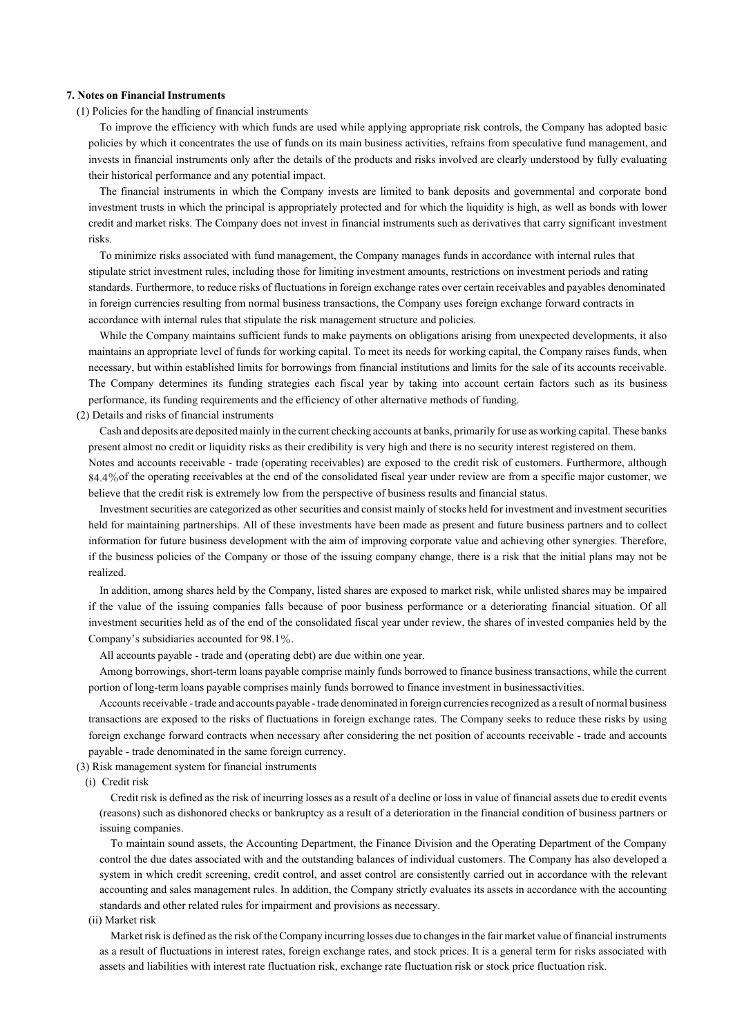#### **7. Notes on Financial Instruments**

(1) Policies for the handling of financial instruments

To improve the efficiency with which funds are used while applying appropriate risk controls, the Company has adopted basic policies by which it concentrates the use of funds on its main business activities, refrains from speculative fund management, and invests in financial instruments only after the details of the products and risks involved are clearly understood by fully evaluating their historical performance and any potential impact.

The financial instruments in which the Company invests are limited to bank deposits and governmental and corporate bond investment trusts in which the principal is appropriately protected and for which the liquidity is high, as well as bonds with lower credit and market risks. The Company does not invest in financial instruments such as derivatives that carry significant investment risks.

To minimize risks associated with fund management, the Company manages funds in accordance with internal rules that stipulate strict investment rules, including those for limiting investment amounts, restrictions on investment periods and rating standards. Furthermore, to reduce risks of fluctuations in foreign exchange rates over certain receivables and payables denominated in foreign currencies resulting from normal business transactions, the Company uses foreign exchange forward contracts in accordance with internal rules that stipulate the risk management structure and policies.

While the Company maintains sufficient funds to make payments on obligations arising from unexpected developments, it also maintains an appropriate level of funds for working capital. To meet its needs for working capital, the Company raises funds, when necessary, but within established limits for borrowings from financial institutions and limits for the sale of its accounts receivable. The Company determines its funding strategies each fiscal year by taking into account certain factors such as its business performance, its funding requirements and the efficiency of other alternative methods of funding.

(2) Details and risks of financial instruments

Cash and deposits are deposited mainly in the current checking accounts at banks, primarily for use as working capital. These banks present almost no credit or liquidity risks as their credibility is very high and there is no security interest registered on them.

Notes and accounts receivable - trade (operating receivables) are exposed to the credit risk of customers. Furthermore, although 84.4%of the operating receivables at the end of the consolidated fiscal year under review are from a specific major customer, we believe that the credit risk is extremely low from the perspective of business results and financial status.

Investment securities are categorized as other securities and consist mainly of stocks held for investment and investment securities held for maintaining partnerships. All of these investments have been made as present and future business partners and to collect information for future business development with the aim of improving corporate value and achieving other synergies. Therefore, if the business policies of the Company or those of the issuing company change, there is a risk that the initial plans may not be realized.

In addition, among shares held by the Company, listed shares are exposed to market risk, while unlisted shares may be impaired if the value of the issuing companies falls because of poor business performance or a deteriorating financial situation. Of all investment securities held as of the end of the consolidated fiscal year under review, the shares of invested companies held by the Company's subsidiaries accounted for 98.1%.

All accounts payable - trade and (operating debt) are due within one year.

Among borrowings, short-term loans payable comprise mainly funds borrowed to finance business transactions, while the current portion of long-term loans payable comprises mainly funds borrowed to finance investment in businessactivities.

Accounts receivable - trade and accounts payable - trade denominated in foreign currencies recognized as a result of normal business transactions are exposed to the risks of fluctuations in foreign exchange rates. The Company seeks to reduce these risks by using foreign exchange forward contracts when necessary after considering the net position of accounts receivable - trade and accounts payable - trade denominated in the same foreign currency.

(3) Risk management system for financial instruments

(i) Credit risk

Credit risk is defined as the risk of incurring losses as a result of a decline or loss in value of financial assets due to credit events (reasons) such as dishonored checks or bankruptcy as a result of a deterioration in the financial condition of business partners or issuing companies.

To maintain sound assets, the Accounting Department, the Finance Division and the Operating Department of the Company control the due dates associated with and the outstanding balances of individual customers. The Company has also developed a system in which credit screening, credit control, and asset control are consistently carried out in accordance with the relevant accounting and sales management rules. In addition, the Company strictly evaluates its assets in accordance with the accounting standards and other related rules for impairment and provisions as necessary.

### (ii) Market risk

Market risk is defined as the risk of the Company incurring losses due to changes in the fair market value of financial instruments as a result of fluctuations in interest rates, foreign exchange rates, and stock prices. It is a general term for risks associated with assets and liabilities with interest rate fluctuation risk, exchange rate fluctuation risk or stock price fluctuation risk.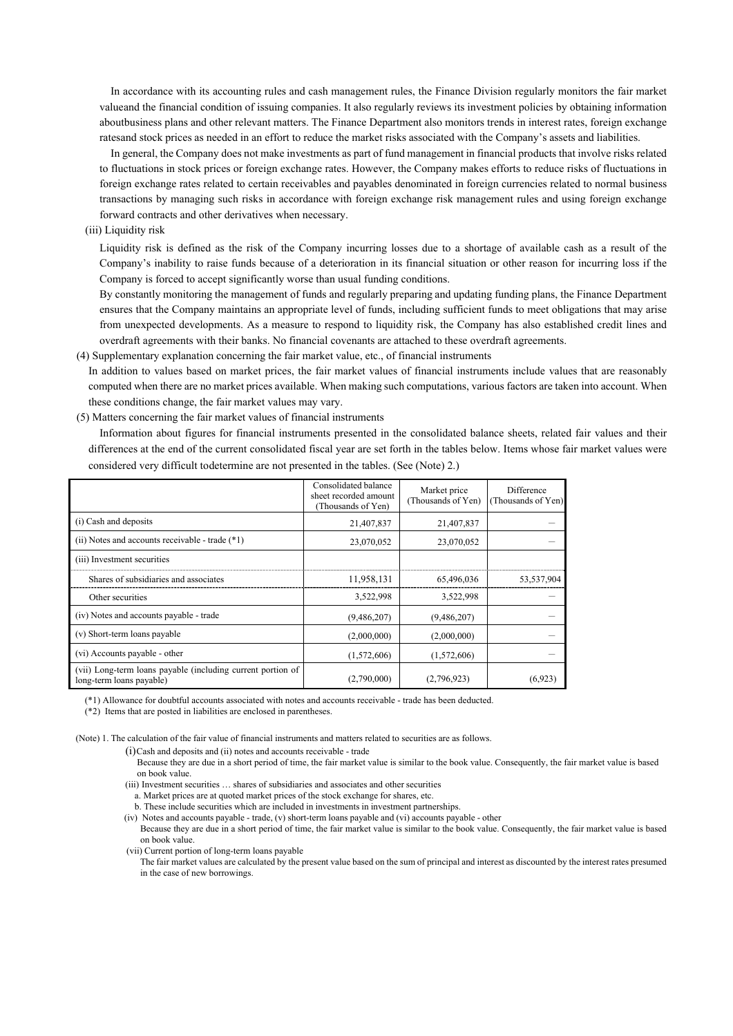In accordance with its accounting rules and cash management rules, the Finance Division regularly monitors the fair market value and the financial condition of issuing companies. It also regularly reviews its investment policies by obtaining information about business plans and other relevant matters. The Finance Department also monitors trends in interest rates, foreign exchange rates and stock prices as needed in an effort to reduce the market risks associated with the Company's assets and liabilities.

In general, the Company does not make investments as part of fund management in financial products that involve risks related to fluctuations in stock prices or foreign exchange rates. However, the Company makes efforts to reduce risks of fluctuations in foreign exchange rates related to certain receivables and payables denominated in foreign currencies related to normal business transactions by managing such risks in accordance with foreign exchange risk management rules and using foreign exchange forward contracts and other derivatives when necessary.

#### (iii) Liquidity risk

Liquidity risk is defined as the risk of the Company incurring losses due to a shortage of available cash as a result of the Company's inability to raise funds because of a deterioration in its financial situation or other reason for incurring loss if the Company is forced to accept significantly worse than usual funding conditions.

By constantly monitoring the management of funds and regularly preparing and updating funding plans, the Finance Department ensures that the Company maintains an appropriate level of funds, including sufficient funds to meet obligations that may arise from unexpected developments. As a measure to respond to liquidity risk, the Company has also established credit lines and overdraft agreements with their banks. No financial covenants are attached to these overdraft agreements.

(4) Supplementary explanation concerning the fair market value, etc., of financial instruments

In addition to values based on market prices, the fair market values of financial instruments include values that are reasonably computed when there are no market prices available. When making such computations, various factors are taken into account. When these conditions change, the fair market values may vary.

(5) Matters concerning the fair market values of financial instruments

Information about figures for financial instruments presented in the consolidated balance sheets, related fair values and their differences at the end of the current consolidated fiscal year are set forth in the tables below. Items whose fair market values were considered very difficult to determine are not presented in the tables. (See (Note) 2.)

|                                                                                         | Consolidated balance<br>sheet recorded amount<br>(Thousands of Yen) | Market price<br>(Thousands of Yen) | Difference<br>Thousands of Yen) |
|-----------------------------------------------------------------------------------------|---------------------------------------------------------------------|------------------------------------|---------------------------------|
| (i) Cash and deposits                                                                   | 21,407,837                                                          | 21,407,837                         |                                 |
| (ii) Notes and accounts receivable - trade $(*1)$                                       | 23,070,052                                                          | 23,070,052                         |                                 |
| (iii) Investment securities                                                             |                                                                     |                                    |                                 |
| Shares of subsidiaries and associates                                                   | 11,958,131                                                          | 65,496,036                         | 53,537,904                      |
| Other securities                                                                        | 3,522,998                                                           | 3,522,998                          |                                 |
| (iv) Notes and accounts payable - trade                                                 | (9,486,207)                                                         | (9,486,207)                        |                                 |
| (v) Short-term loans payable                                                            | (2,000,000)                                                         | (2,000,000)                        |                                 |
| (vi) Accounts payable - other                                                           | (1,572,606)                                                         | (1,572,606)                        |                                 |
| (vii) Long-term loans payable (including current portion of<br>long-term loans payable) | (2,790,000)                                                         | (2,796,923)                        | (6,923)                         |

(\*1) Allowance for doubtful accounts associated with notes and accounts receivable - trade has been deducted.

(\*2) Items that are posted in liabilities are enclosed in parentheses.

(Note) 1. The calculation of the fair value of financial instruments and matters related to securities are as follows.

(i)Cash and deposits and (ii) notes and accounts receivable - trade

- Because they are due in a short period of time, the fair market value is similar to the book value. Consequently, the fair market value is based on book value.
- (iii) Investment securities … shares of subsidiaries and associates and other securities
- a. Market prices are at quoted market prices of the stock exchange for shares, etc.
- b. These include securities which are included in investments in investment partnerships.

(iv) Notes and accounts payable - trade, (v) short-term loans payable and (vi) accounts payable - other Because they are due in a short period of time, the fair market value is similar to the book value. Consequently, the fair market value is based on book value.

(vii) Current portion of long-term loans payable

The fair market values are calculated by the present value based on the sum of principal and interest as discounted by the interest rates presumed in the case of new borrowings.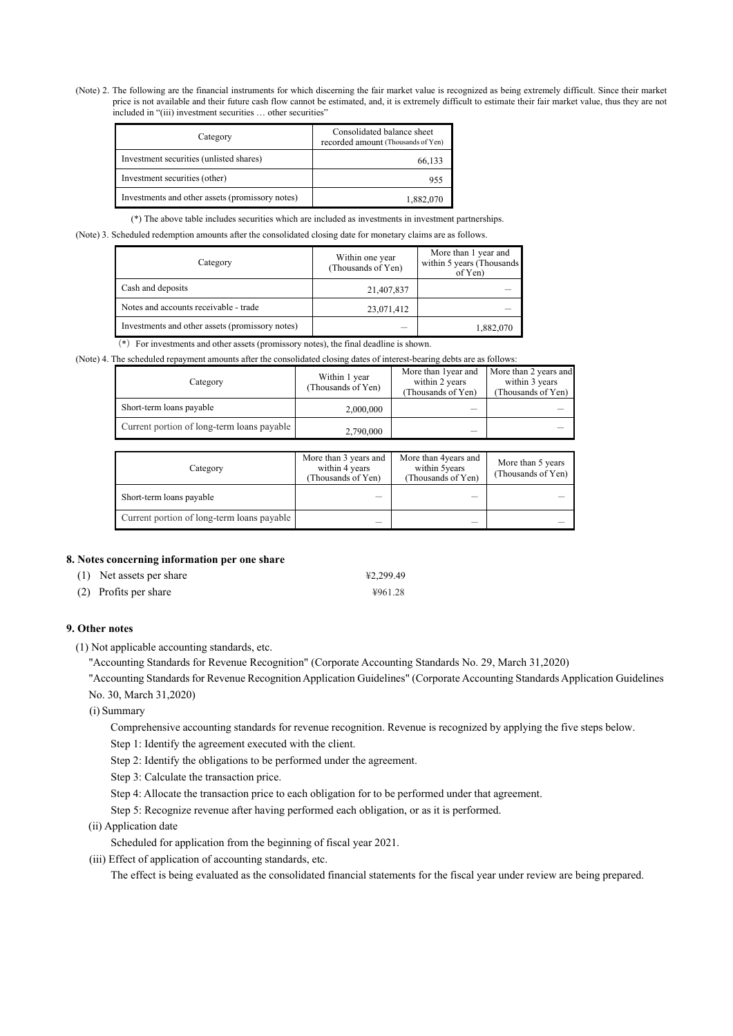(Note) 2. The following are the financial instruments for which discerning the fair market value is recognized as being extremely difficult. Since their market price is not available and their future cash flow cannot be estimated, and, it is extremely difficult to estimate their fair market value, thus they are not included in "(iii) investment securities … other securities"

| Category                                        | Consolidated balance sheet<br>recorded amount (Thousands of Yen) |
|-------------------------------------------------|------------------------------------------------------------------|
| Investment securities (unlisted shares)         | 66,133                                                           |
| Investment securities (other)                   | 955                                                              |
| Investments and other assets (promissory notes) | 1,882,070                                                        |

(\*) The above table includes securities which are included as investments in investment partnerships.

(Note) 3. Scheduled redemption amounts after the consolidated closing date for monetary claims are as follows.

| Category                                        | Within one year<br>(Thousands of Yen) | More than 1 year and<br>within 5 years (Thousands<br>of Yen) |
|-------------------------------------------------|---------------------------------------|--------------------------------------------------------------|
| Cash and deposits                               | 21,407,837                            |                                                              |
| Notes and accounts receivable - trade           | 23,071,412                            |                                                              |
| Investments and other assets (promissory notes) |                                       | 1,882,070                                                    |

(\*) For investments and other assets (promissory notes), the final deadline is shown.

|  |  |  |  |  |  | (Note) 4. The scheduled repayment amounts after the consolidated closing dates of interest-bearing debts are as follows: |
|--|--|--|--|--|--|--------------------------------------------------------------------------------------------------------------------------|
|  |  |  |  |  |  |                                                                                                                          |
|  |  |  |  |  |  |                                                                                                                          |
|  |  |  |  |  |  |                                                                                                                          |

| Category                                   | Within 1 year<br>(Thousands of Yen) | More than 1year and<br>within 2 years<br>(Thousands of Yen) | More than 2 years and<br>within 3 years<br>(Thousands of Yen) |
|--------------------------------------------|-------------------------------------|-------------------------------------------------------------|---------------------------------------------------------------|
| Short-term loans payable                   | 2,000,000                           | _                                                           |                                                               |
| Current portion of long-term loans payable | 2,790,000                           | $\overline{\phantom{a}}$                                    |                                                               |

| Category                                   | More than 3 years and<br>within 4 years<br>(Thousands of Yen) | More than 4years and<br>within 5years<br>(Thousands of Yen) | More than 5 years<br>(Thousands of Yen) |
|--------------------------------------------|---------------------------------------------------------------|-------------------------------------------------------------|-----------------------------------------|
| Short-term loans payable                   | _                                                             |                                                             |                                         |
| Current portion of long-term loans payable | _                                                             |                                                             |                                         |

### **8. Notes concerning information per one share**

| (1) Net assets per share | ¥2,299.49 |
|--------------------------|-----------|
| (2) Profits per share    | ¥961.28   |

### **9. Other notes**

(1) Not applicable accounting standards, etc.

"Accounting Standards for Revenue Recognition" (Corporate Accounting Standards No. 29, March 31,2020)

"Accounting Standards for Revenue Recognition Application Guidelines" (Corporate Accounting Standards Application Guidelines No. 30, March 31,2020)

#### (i) Summary

Comprehensive accounting standards for revenue recognition. Revenue is recognized by applying the five steps below.

Step 1: Identify the agreement executed with the client.

Step 2: Identify the obligations to be performed under the agreement.

- Step 3: Calculate the transaction price.
- Step 4: Allocate the transaction price to each obligation for to be performed under that agreement.
- Step 5: Recognize revenue after having performed each obligation, or as it is performed.
- (ii) Application date

Scheduled for application from the beginning of fiscal year 2021.

(iii) Effect of application of accounting standards, etc.

The effect is being evaluated as the consolidated financial statements for the fiscal year under review are being prepared.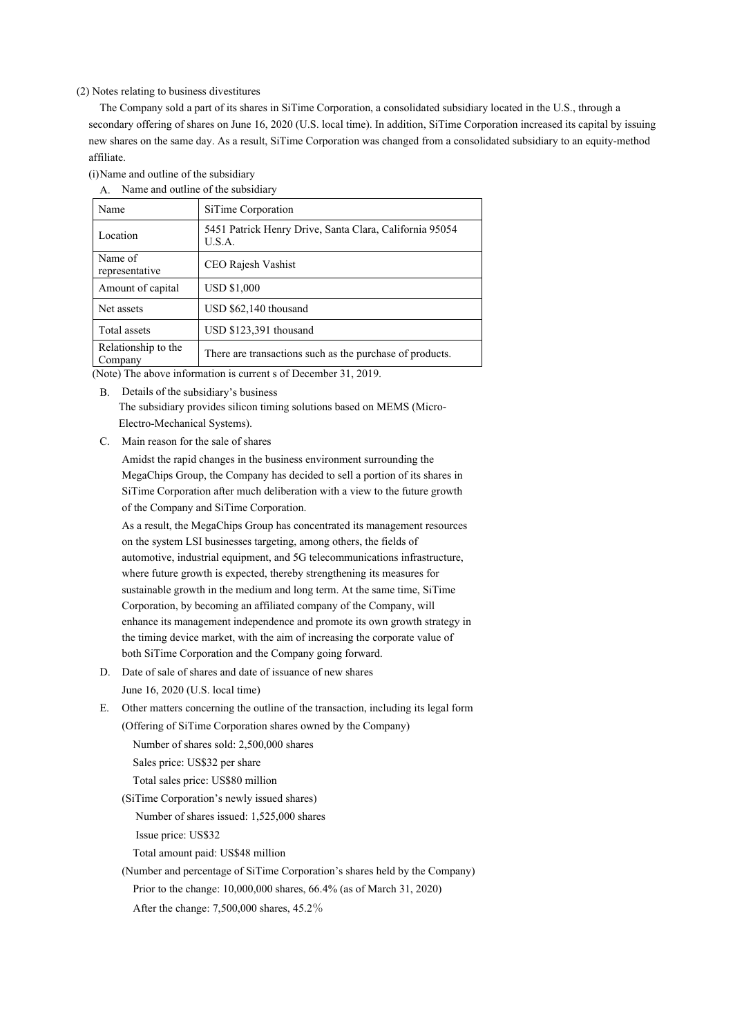#### (2) Notes relating to business divestitures

The Company sold a part of its shares in SiTime Corporation, a consolidated subsidiary located in the U.S., through a secondary offering of shares on June 16, 2020 (U.S. local time). In addition, SiTime Corporation increased its capital by issuing new shares on the same day. As a result, SiTime Corporation was changed from a consolidated subsidiary to an equity-method affiliate.

(i)Name and outline of the subsidiary

| Name and outline of the subsidiary<br>А. |                                                                   |  |  |  |
|------------------------------------------|-------------------------------------------------------------------|--|--|--|
| Name                                     | SiTime Corporation                                                |  |  |  |
| Location                                 | 5451 Patrick Henry Drive, Santa Clara, California 95054<br>U.S.A. |  |  |  |
| Name of<br>representative                | CEO Rajesh Vashist                                                |  |  |  |
| Amount of capital                        | <b>USD \$1,000</b>                                                |  |  |  |
| Net assets                               | USD \$62,140 thousand                                             |  |  |  |
| Total assets                             | USD \$123,391 thousand                                            |  |  |  |
| Relationship to the<br>Company           | There are transactions such as the purchase of products.          |  |  |  |

(Note) The above information is current s of December 31, 2019.

B. Details of the subsidiary's business

The subsidiary provides silicon timing solutions based on MEMS (Micro-Electro-Mechanical Systems).

C. Main reason for the sale of shares

Amidst the rapid changes in the business environment surrounding the MegaChips Group, the Company has decided to sell a portion of its shares in SiTime Corporation after much deliberation with a view to the future growth of the Company and SiTime Corporation.

As a result, the MegaChips Group has concentrated its management resources on the system LSI businesses targeting, among others, the fields of automotive, industrial equipment, and 5G telecommunications infrastructure, where future growth is expected, thereby strengthening its measures for sustainable growth in the medium and long term. At the same time, SiTime Corporation, by becoming an affiliated company of the Company, will enhance its management independence and promote its own growth strategy in the timing device market, with the aim of increasing the corporate value of both SiTime Corporation and the Company going forward.

- D. Date of sale of shares and date of issuance of new shares
	- June 16, 2020 (U.S. local time)

E. Other matters concerning the outline of the transaction, including its legal form (Offering of SiTime Corporation shares owned by the Company)

Number of shares sold: 2,500,000 shares

Sales price: US\$32 per share

Total sales price: US\$80 million

(SiTime Corporation's newly issued shares)

Number of shares issued: 1,525,000 shares

Issue price: US\$32

Total amount paid: US\$48 million

(Number and percentage of SiTime Corporation's shares held by the Company)

Prior to the change: 10,000,000 shares, 66.4% (as of March 31, 2020)

After the change: 7,500,000 shares, 45.2%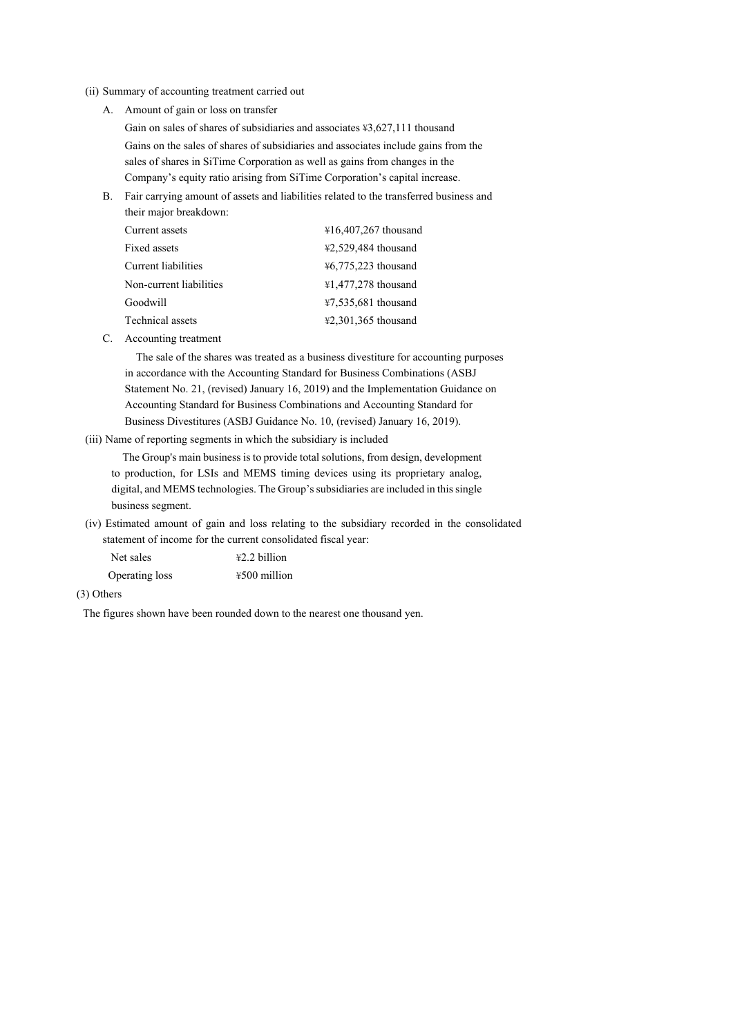#### (ii) Summary of accounting treatment carried out

A. Amount of gain or loss on transfer

Gain on sales of shares of subsidiaries and associates ¥3,627,111 thousand Gains on the sales of shares of subsidiaries and associates include gains from the sales of shares in SiTime Corporation as well as gains from changes in the Company's equity ratio arising from SiTime Corporation's capital increase.

B. Fair carrying amount of assets and liabilities related to the transferred business and their major breakdown:

| Current assets          | ¥16,407,267 thousand                     |
|-------------------------|------------------------------------------|
| Fixed assets            | ¥2,529,484 thousand                      |
| Current liabilities     | ¥6,775,223 thousand                      |
| Non-current liabilities | ¥1,477,278 thousand                      |
| Goodwill                | $47,535,681$ thousand                    |
| Technical assets        | $\text{\textsterling}2,301,365$ thousand |
|                         |                                          |

C. Accounting treatment

The sale of the shares was treated as a business divestiture for accounting purposes in accordance with the Accounting Standard for Business Combinations (ASBJ Statement No. 21, (revised) January 16, 2019) and the Implementation Guidance on Accounting Standard for Business Combinations and Accounting Standard for Business Divestitures (ASBJ Guidance No. 10, (revised) January 16, 2019).

(iii) Name of reporting segments in which the subsidiary is included

The Group's main business is to provide total solutions, from design, development to production, for LSIs and MEMS timing devices using its proprietary analog, digital, and MEMS technologies. The Group's subsidiaries are included in this single business segment.

(iv) Estimated amount of gain and loss relating to the subsidiary recorded in the consolidated statement of income for the current consolidated fiscal year:

| Net sales      | $42.2$ billion |
|----------------|----------------|
| Operating loss | $4500$ million |

## (3) Others

The figures shown have been rounded down to the nearest one thousand yen.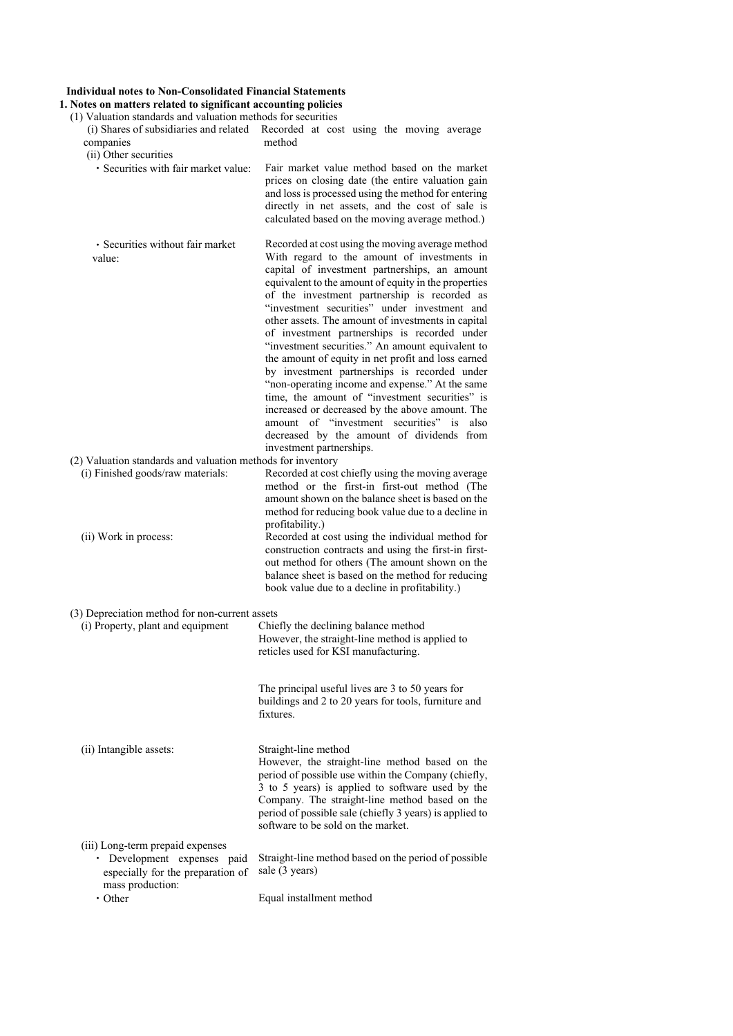## **Individual notes to Non-Consolidated Financial Statements**

**1. Notes on matters related to significant accounting policies**  (1) Valuation standards and valuation methods for securities

| (i) Shares of subsidiaries and related<br>companies<br>(ii) Other securities                         | Recorded at cost using the moving average<br>method                                                                                                                                                                                                                                                                                                                                                                                                                                                                                                                                                                                                                                                                                                                                                                                                    |
|------------------------------------------------------------------------------------------------------|--------------------------------------------------------------------------------------------------------------------------------------------------------------------------------------------------------------------------------------------------------------------------------------------------------------------------------------------------------------------------------------------------------------------------------------------------------------------------------------------------------------------------------------------------------------------------------------------------------------------------------------------------------------------------------------------------------------------------------------------------------------------------------------------------------------------------------------------------------|
| · Securities with fair market value:                                                                 | Fair market value method based on the market<br>prices on closing date (the entire valuation gain<br>and loss is processed using the method for entering<br>directly in net assets, and the cost of sale is<br>calculated based on the moving average method.)                                                                                                                                                                                                                                                                                                                                                                                                                                                                                                                                                                                         |
| · Securities without fair market<br>value:                                                           | Recorded at cost using the moving average method<br>With regard to the amount of investments in<br>capital of investment partnerships, an amount<br>equivalent to the amount of equity in the properties<br>of the investment partnership is recorded as<br>"investment securities" under investment and<br>other assets. The amount of investments in capital<br>of investment partnerships is recorded under<br>"investment securities." An amount equivalent to<br>the amount of equity in net profit and loss earned<br>by investment partnerships is recorded under<br>"non-operating income and expense." At the same<br>time, the amount of "investment securities" is<br>increased or decreased by the above amount. The<br>amount of "investment securities" is also<br>decreased by the amount of dividends from<br>investment partnerships. |
| (2) Valuation standards and valuation methods for inventory                                          |                                                                                                                                                                                                                                                                                                                                                                                                                                                                                                                                                                                                                                                                                                                                                                                                                                                        |
| (i) Finished goods/raw materials:<br>(ii) Work in process:                                           | Recorded at cost chiefly using the moving average<br>method or the first-in first-out method (The<br>amount shown on the balance sheet is based on the<br>method for reducing book value due to a decline in<br>profitability.)<br>Recorded at cost using the individual method for<br>construction contracts and using the first-in first-<br>out method for others (The amount shown on the<br>balance sheet is based on the method for reducing<br>book value due to a decline in profitability.)                                                                                                                                                                                                                                                                                                                                                   |
|                                                                                                      |                                                                                                                                                                                                                                                                                                                                                                                                                                                                                                                                                                                                                                                                                                                                                                                                                                                        |
| (3) Depreciation method for non-current assets<br>(i) Property, plant and equipment                  | Chiefly the declining balance method<br>However, the straight-line method is applied to<br>reticles used for KSI manufacturing.                                                                                                                                                                                                                                                                                                                                                                                                                                                                                                                                                                                                                                                                                                                        |
|                                                                                                      | The principal useful lives are 3 to 50 years for<br>buildings and 2 to 20 years for tools, furniture and<br>fixtures.                                                                                                                                                                                                                                                                                                                                                                                                                                                                                                                                                                                                                                                                                                                                  |
| (ii) Intangible assets:                                                                              | Straight-line method<br>However, the straight-line method based on the<br>period of possible use within the Company (chiefly,<br>3 to 5 years) is applied to software used by the<br>Company. The straight-line method based on the<br>period of possible sale (chiefly 3 years) is applied to<br>software to be sold on the market.                                                                                                                                                                                                                                                                                                                                                                                                                                                                                                                   |
| (iii) Long-term prepaid expenses<br>· Development expenses paid<br>especially for the preparation of | Straight-line method based on the period of possible<br>sale (3 years)                                                                                                                                                                                                                                                                                                                                                                                                                                                                                                                                                                                                                                                                                                                                                                                 |
| mass production:<br>$\cdot$ Other                                                                    | Equal installment method                                                                                                                                                                                                                                                                                                                                                                                                                                                                                                                                                                                                                                                                                                                                                                                                                               |
|                                                                                                      |                                                                                                                                                                                                                                                                                                                                                                                                                                                                                                                                                                                                                                                                                                                                                                                                                                                        |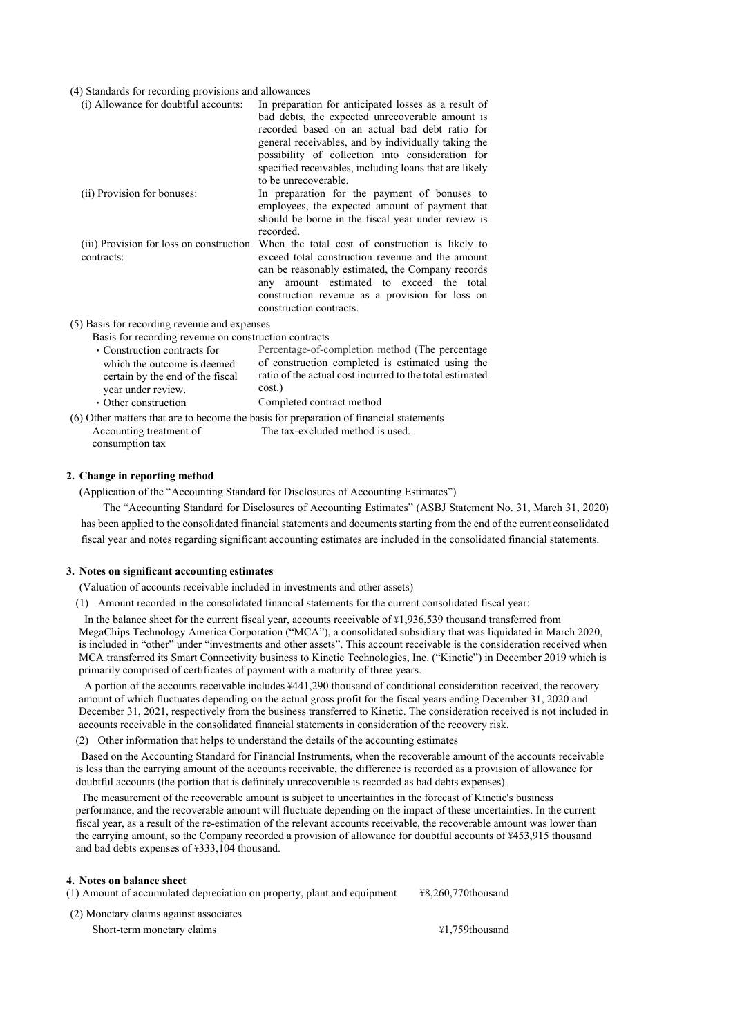#### (4) Standards for recording provisions and allowances

| (i) Allowance for doubtful accounts:                                                                                                          | In preparation for anticipated losses as a result of<br>bad debts, the expected unrecoverable amount is<br>recorded based on an actual bad debt ratio for<br>general receivables, and by individually taking the<br>possibility of collection into consideration for<br>specified receivables, including loans that are likely<br>to be unrecoverable. |
|-----------------------------------------------------------------------------------------------------------------------------------------------|--------------------------------------------------------------------------------------------------------------------------------------------------------------------------------------------------------------------------------------------------------------------------------------------------------------------------------------------------------|
| (ii) Provision for bonuses:                                                                                                                   | In preparation for the payment of bonuses to<br>employees, the expected amount of payment that<br>should be borne in the fiscal year under review is<br>recorded.                                                                                                                                                                                      |
| contracts:                                                                                                                                    | (iii) Provision for loss on construction When the total cost of construction is likely to<br>exceed total construction revenue and the amount<br>can be reasonably estimated, the Company records<br>amount estimated to exceed the total<br>any<br>construction revenue as a provision for loss on<br>construction contracts.                         |
| (5) Basis for recording revenue and expenses<br>Basis for recording revenue on construction contracts                                         |                                                                                                                                                                                                                                                                                                                                                        |
| • Construction contracts for<br>which the outcome is deemed<br>certain by the end of the fiscal<br>year under review.<br>• Other construction | Percentage-of-completion method (The percentage<br>of construction completed is estimated using the<br>ratio of the actual cost incurred to the total estimated<br>$cost.$ )<br>Completed contract method                                                                                                                                              |
|                                                                                                                                               | (6) Other matters that are to become the basis for preparation of financial statements                                                                                                                                                                                                                                                                 |

Accounting treatment of consumption tax The tax-excluded method is used.

### **2. Change in reporting method**

(Application of the "Accounting Standard for Disclosures of Accounting Estimates")

 The "Accounting Standard for Disclosures of Accounting Estimates" (ASBJ Statement No. 31, March 31, 2020) has been applied to the consolidated financial statements and documents starting from the end of the current consolidated fiscal year and notes regarding significant accounting estimates are included in the consolidated financial statements.

#### **3. Notes on significant accounting estimates**

(Valuation of accounts receivable included in investments and other assets)

(1) Amount recorded in the consolidated financial statements for the current consolidated fiscal year:

 In the balance sheet for the current fiscal year, accounts receivable of ¥1,936,539 thousand transferred from MegaChips Technology America Corporation ("MCA"), a consolidated subsidiary that was liquidated in March 2020, is included in "other" under "investments and other assets". This account receivable is the consideration received when MCA transferred its Smart Connectivity business to Kinetic Technologies, Inc. ("Kinetic") in December 2019 which is primarily comprised of certificates of payment with a maturity of three years.

 A portion of the accounts receivable includes ¥441,290 thousand of conditional consideration received, the recovery amount of which fluctuates depending on the actual gross profit for the fiscal years ending December 31, 2020 and December 31, 2021, respectively from the business transferred to Kinetic. The consideration received is not included in accounts receivable in the consolidated financial statements in consideration of the recovery risk.

(2) Other information that helps to understand the details of the accounting estimates

 Based on the Accounting Standard for Financial Instruments, when the recoverable amount of the accounts receivable is less than the carrying amount of the accounts receivable, the difference is recorded as a provision of allowance for doubtful accounts (the portion that is definitely unrecoverable is recorded as bad debts expenses).

 The measurement of the recoverable amount is subject to uncertainties in the forecast of Kinetic's business performance, and the recoverable amount will fluctuate depending on the impact of these uncertainties. In the current fiscal year, as a result of the re-estimation of the relevant accounts receivable, the recoverable amount was lower than the carrying amount, so the Company recorded a provision of allowance for doubtful accounts of ¥453,915 thousand and bad debts expenses of ¥333,104 thousand.

#### **4. Notes on balance sheet**

| (1) Amount of accumulated depreciation on property, plant and equipment | ¥8.260.770thousand |
|-------------------------------------------------------------------------|--------------------|
| (2) Monetary claims against associates                                  |                    |

Short-term monetary claims  $\frac{41,759}$ thousand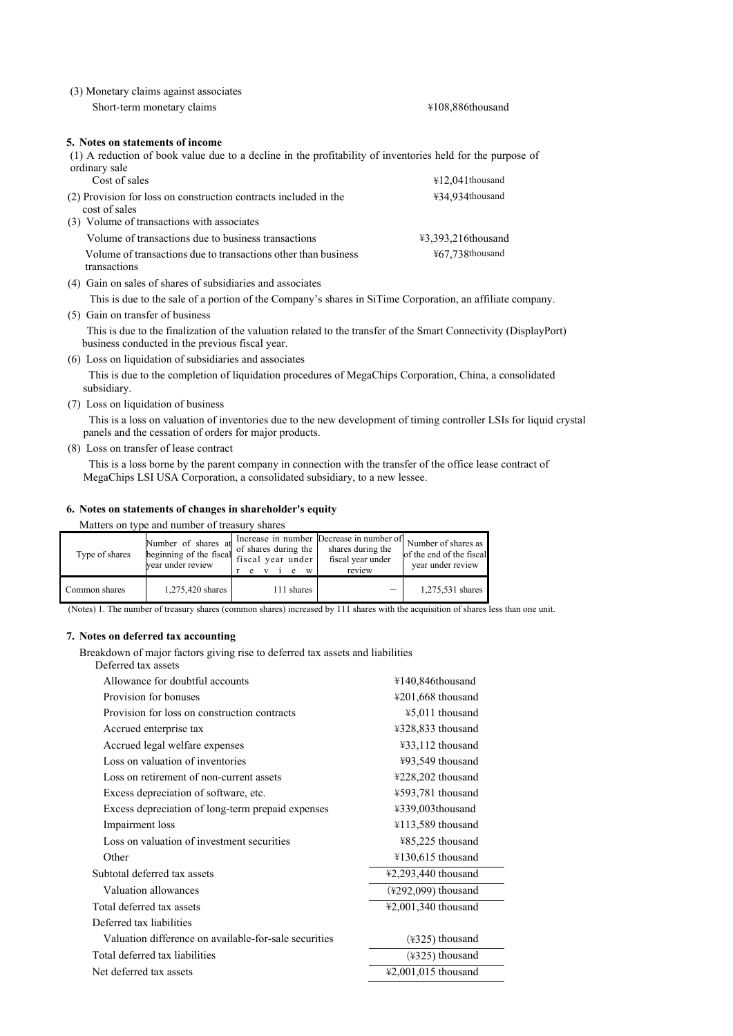| (3) Monetary claims against associates                                                                                      |                            |
|-----------------------------------------------------------------------------------------------------------------------------|----------------------------|
| Short-term monetary claims                                                                                                  | ¥108,886thousand           |
| 5. Notes on statements of income                                                                                            |                            |
| (1) A reduction of book value due to a decline in the profitability of inventories held for the purpose of<br>ordinary sale |                            |
| Cost of sales                                                                                                               | $\text{\#12.041}$ thousand |
| (2) Provision for loss on construction contracts included in the<br>cost of sales                                           | ¥34,934thousand            |
| (3) Volume of transactions with associates                                                                                  |                            |
| Volume of transactions due to business transactions                                                                         | ¥3,393,216thousand         |

Volume of transactions due to transactions other than business transactions (4) Gain on sales of shares of subsidiaries and associates

This is due to the sale of a portion of the Company's shares in SiTime Corporation, an affiliate company.

(5) Gain on transfer of business

 This is due to the finalization of the valuation related to the transfer of the Smart Connectivity (DisplayPort) business conducted in the previous fiscal year.

¥67,738thousand

(6) Loss on liquidation of subsidiaries and associates

This is due to the completion of liquidation procedures of MegaChips Corporation, China, a consolidated subsidiary.

(7) Loss on liquidation of business

This is a loss on valuation of inventories due to the new development of timing controller LSIs for liquid crystal panels and the cessation of orders for major products.

(8) Loss on transfer of lease contract

This is a loss borne by the parent company in connection with the transfer of the office lease contract of MegaChips LSI USA Corporation, a consolidated subsidiary, to a new lessee.

### **6. Notes on statements of changes in shareholder's equity**

Matters on type and number of treasury shares

| Type of shares | Number of shares at<br>beginning of the fiscal $\int_{c}^{c}$ of shares during the $\Big $ .<br>vear under review | fiscal year under<br>e v<br>W | Increase in number Decrease in number of Number of shares as<br>shares during the<br>fiscal year under<br>review | of the end of the fiscal<br>year under review |
|----------------|-------------------------------------------------------------------------------------------------------------------|-------------------------------|------------------------------------------------------------------------------------------------------------------|-----------------------------------------------|
| Common shares  | 1,275,420 shares                                                                                                  | 111 shares                    | $\overline{\phantom{m}}$                                                                                         | 1,275,531 shares                              |

(Notes) 1. The number of treasury shares (common shares) increased by 111 shares with the acquisition of shares less than one unit.

### **7. Notes on deferred tax accounting**

Breakdown of major factors giving rise to deferred tax assets and liabilities

| Deferred tax assets                                   |                       |
|-------------------------------------------------------|-----------------------|
| Allowance for doubtful accounts                       | ¥140,846thousand      |
| Provision for bonuses                                 | ¥201,668 thousand     |
| Provision for loss on construction contracts          | ¥5,011 thousand       |
| Accrued enterprise tax                                | ¥328,833 thousand     |
| Accrued legal welfare expenses                        | ¥33,112 thousand      |
| Loss on valuation of inventories                      | ¥93,549 thousand      |
| Loss on retirement of non-current assets              | ¥228,202 thousand     |
| Excess depreciation of software, etc.                 | ¥593,781 thousand     |
| Excess depreciation of long-term prepaid expenses     | ¥339,003thousand      |
| Impairment loss                                       | ¥113,589 thousand     |
| Loss on valuation of investment securities            | ¥85,225 thousand      |
| Other                                                 | ¥130,615 thousand     |
| Subtotal deferred tax assets                          | ¥2,293,440 thousand   |
| Valuation allowances                                  | $(*292,099)$ thousand |
| Total deferred tax assets                             | ¥2,001,340 thousand   |
| Deferred tax liabilities                              |                       |
| Valuation difference on available-for-sale securities | (¥325) thousand       |
| Total deferred tax liabilities                        | (¥325) thousand       |
| Net deferred tax assets                               | ¥2,001,015 thousand   |
|                                                       |                       |